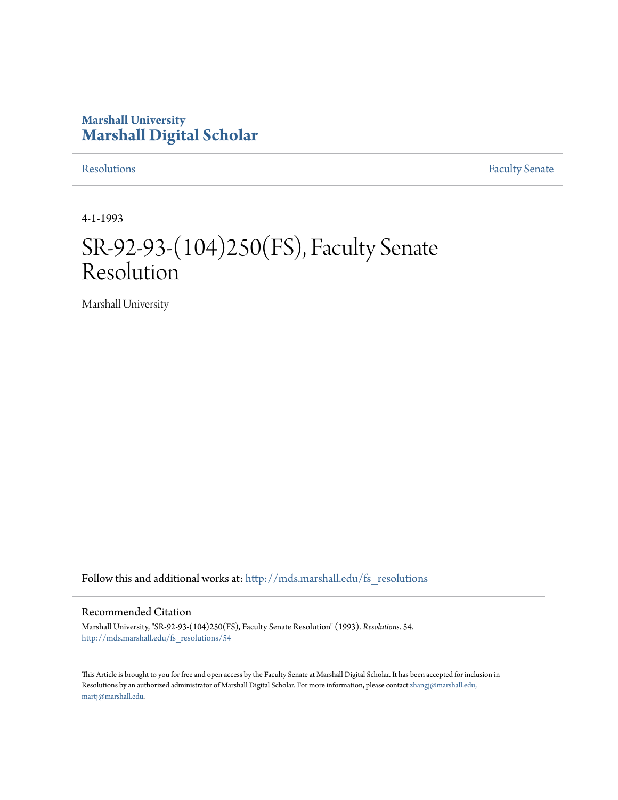### **Marshall University [Marshall Digital Scholar](http://mds.marshall.edu?utm_source=mds.marshall.edu%2Ffs_resolutions%2F54&utm_medium=PDF&utm_campaign=PDFCoverPages)**

[Resolutions](http://mds.marshall.edu/fs_resolutions?utm_source=mds.marshall.edu%2Ffs_resolutions%2F54&utm_medium=PDF&utm_campaign=PDFCoverPages) [Faculty Senate](http://mds.marshall.edu/fs?utm_source=mds.marshall.edu%2Ffs_resolutions%2F54&utm_medium=PDF&utm_campaign=PDFCoverPages)

4-1-1993

# SR-92-93-(104)250(FS), Faculty Senate Resolution

Marshall University

Follow this and additional works at: [http://mds.marshall.edu/fs\\_resolutions](http://mds.marshall.edu/fs_resolutions?utm_source=mds.marshall.edu%2Ffs_resolutions%2F54&utm_medium=PDF&utm_campaign=PDFCoverPages)

#### Recommended Citation

Marshall University, "SR-92-93-(104)250(FS), Faculty Senate Resolution" (1993). *Resolutions*. 54. [http://mds.marshall.edu/fs\\_resolutions/54](http://mds.marshall.edu/fs_resolutions/54?utm_source=mds.marshall.edu%2Ffs_resolutions%2F54&utm_medium=PDF&utm_campaign=PDFCoverPages)

This Article is brought to you for free and open access by the Faculty Senate at Marshall Digital Scholar. It has been accepted for inclusion in Resolutions by an authorized administrator of Marshall Digital Scholar. For more information, please contact [zhangj@marshall.edu,](mailto:zhangj@marshall.edu,%20martj@marshall.edu) [martj@marshall.edu](mailto:zhangj@marshall.edu,%20martj@marshall.edu).